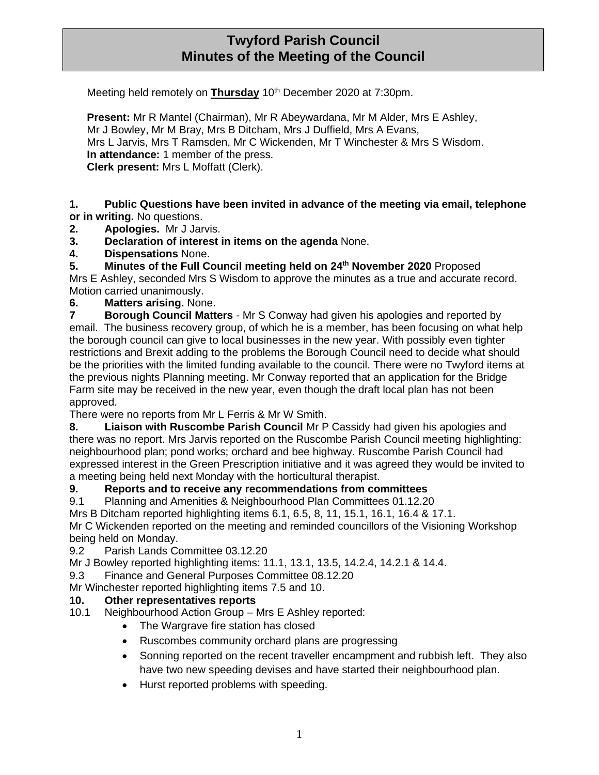# **Twyford Parish Council Minutes of the Meeting of the Council**

Meeting held remotely on **Thursday** 10<sup>th</sup> December 2020 at 7:30pm.

**Present:** Mr R Mantel (Chairman), Mr R Abeywardana, Mr M Alder, Mrs E Ashley, Mr J Bowley, Mr M Bray, Mrs B Ditcham, Mrs J Duffield, Mrs A Evans, Mrs L Jarvis, Mrs T Ramsden, Mr C Wickenden, Mr T Winchester & Mrs S Wisdom. **In attendance:** 1 member of the press. **Clerk present:** Mrs L Moffatt (Clerk).

**1. Public Questions have been invited in advance of the meeting via email, telephone or in writing.** No questions.

- **2. Apologies.** Mr J Jarvis.
- **3. Declaration of interest in items on the agenda** None.
- **4. Dispensations** None.

**5. Minutes of the Full Council meeting held on 24th November 2020** Proposed

Mrs E Ashley, seconded Mrs S Wisdom to approve the minutes as a true and accurate record. Motion carried unanimously.

### **6. Matters arising.** None.

**7 Borough Council Matters** - Mr S Conway had given his apologies and reported by email. The business recovery group, of which he is a member, has been focusing on what help the borough council can give to local businesses in the new year. With possibly even tighter restrictions and Brexit adding to the problems the Borough Council need to decide what should be the priorities with the limited funding available to the council. There were no Twyford items at the previous nights Planning meeting. Mr Conway reported that an application for the Bridge Farm site may be received in the new year, even though the draft local plan has not been approved.

There were no reports from Mr L Ferris & Mr W Smith.

**8. Liaison with Ruscombe Parish Council** Mr P Cassidy had given his apologies and there was no report. Mrs Jarvis reported on the Ruscombe Parish Council meeting highlighting: neighbourhood plan; pond works; orchard and bee highway. Ruscombe Parish Council had expressed interest in the Green Prescription initiative and it was agreed they would be invited to a meeting being held next Monday with the horticultural therapist.

#### **9. Reports and to receive any recommendations from committees**

9.1 Planning and Amenities & Neighbourhood Plan Committees 01.12.20

Mrs B Ditcham reported highlighting items 6.1, 6.5, 8, 11, 15.1, 16.1, 16.4 & 17.1.

Mr C Wickenden reported on the meeting and reminded councillors of the Visioning Workshop being held on Monday.

9.2 Parish Lands Committee 03.12.20

Mr J Bowley reported highlighting items: 11.1, 13.1, 13.5, 14.2.4, 14.2.1 & 14.4.

9.3 Finance and General Purposes Committee 08.12.20

Mr Winchester reported highlighting items 7.5 and 10.

#### **10. Other representatives reports**

- 10.1 Neighbourhood Action Group Mrs E Ashley reported:
	- The Wargrave fire station has closed
	- Ruscombes community orchard plans are progressing
	- Sonning reported on the recent traveller encampment and rubbish left. They also have two new speeding devises and have started their neighbourhood plan.
	- Hurst reported problems with speeding.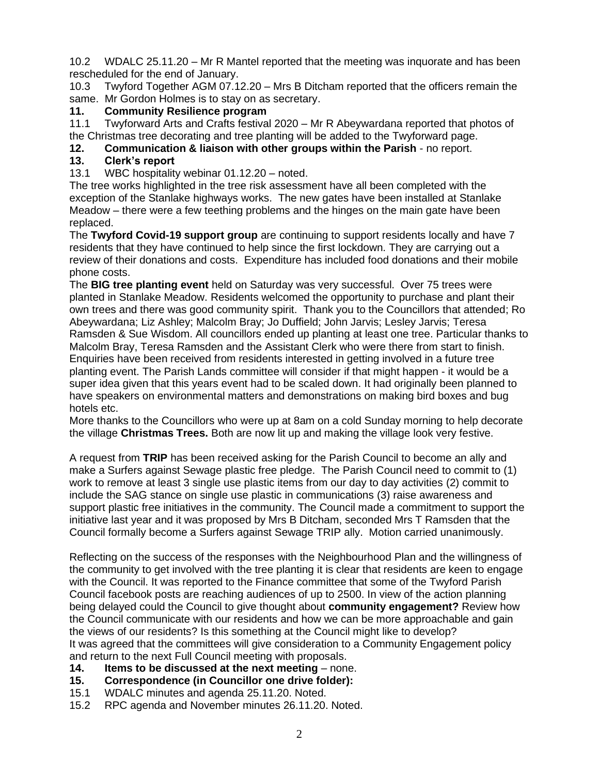10.2 WDALC 25.11.20 – Mr R Mantel reported that the meeting was inquorate and has been rescheduled for the end of January.

10.3 Twyford Together AGM 07.12.20 – Mrs B Ditcham reported that the officers remain the same. Mr Gordon Holmes is to stay on as secretary.

## **11. Community Resilience program**

11.1 Twyforward Arts and Crafts festival 2020 – Mr R Abeywardana reported that photos of the Christmas tree decorating and tree planting will be added to the Twyforward page.

**12. Communication & liaison with other groups within the Parish** - no report.

# **13. Clerk's report**

13.1 WBC hospitality webinar 01.12.20 – noted.

The tree works highlighted in the tree risk assessment have all been completed with the exception of the Stanlake highways works. The new gates have been installed at Stanlake Meadow – there were a few teething problems and the hinges on the main gate have been replaced.

The **Twyford Covid-19 support group** are continuing to support residents locally and have 7 residents that they have continued to help since the first lockdown. They are carrying out a review of their donations and costs. Expenditure has included food donations and their mobile phone costs.

The **BIG tree planting event** held on Saturday was very successful. Over 75 trees were planted in Stanlake Meadow. Residents welcomed the opportunity to purchase and plant their own trees and there was good community spirit. Thank you to the Councillors that attended; Ro Abeywardana; Liz Ashley; Malcolm Bray; Jo Duffield; John Jarvis; Lesley Jarvis; Teresa Ramsden & Sue Wisdom. All councillors ended up planting at least one tree. Particular thanks to Malcolm Bray, Teresa Ramsden and the Assistant Clerk who were there from start to finish. Enquiries have been received from residents interested in getting involved in a future tree planting event. The Parish Lands committee will consider if that might happen - it would be a super idea given that this years event had to be scaled down. It had originally been planned to have speakers on environmental matters and demonstrations on making bird boxes and bug hotels etc.

More thanks to the Councillors who were up at 8am on a cold Sunday morning to help decorate the village **Christmas Trees.** Both are now lit up and making the village look very festive.

A request from **TRIP** has been received asking for the Parish Council to become an ally and make a Surfers against Sewage plastic free pledge. The Parish Council need to commit to (1) work to remove at least 3 single use plastic items from our day to day activities (2) commit to include the SAG stance on single use plastic in communications (3) raise awareness and support plastic free initiatives in the community. The Council made a commitment to support the initiative last year and it was proposed by Mrs B Ditcham, seconded Mrs T Ramsden that the Council formally become a Surfers against Sewage TRIP ally. Motion carried unanimously.

Reflecting on the success of the responses with the Neighbourhood Plan and the willingness of the community to get involved with the tree planting it is clear that residents are keen to engage with the Council. It was reported to the Finance committee that some of the Twyford Parish Council facebook posts are reaching audiences of up to 2500. In view of the action planning being delayed could the Council to give thought about **community engagement?** Review how the Council communicate with our residents and how we can be more approachable and gain the views of our residents? Is this something at the Council might like to develop? It was agreed that the committees will give consideration to a Community Engagement policy and return to the next Full Council meeting with proposals.

- **14. Items to be discussed at the next meeting** none.
- **15. Correspondence (in Councillor one drive folder):**
- 15.1 WDALC minutes and agenda 25.11.20. Noted.
- 15.2 RPC agenda and November minutes 26.11.20. Noted.